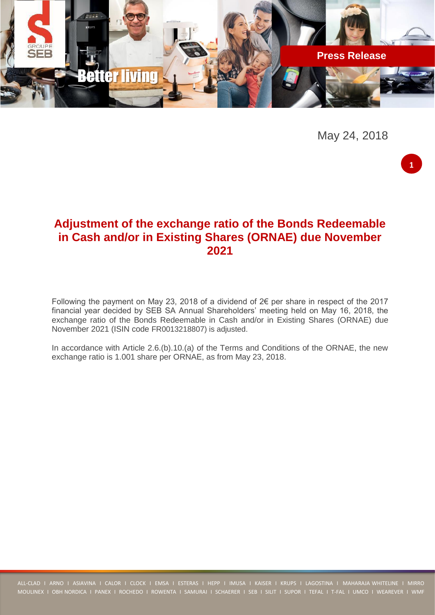

May 24, 2018

**1**

# **Adjustment of the exchange ratio of the Bonds Redeemable in Cash and/or in Existing Shares (ORNAE) due November 2021**

Following the payment on May 23, 2018 of a dividend of 2€ per share in respect of the 2017 financial year decided by SEB SA Annual Shareholders' meeting held on May 16, 2018, the exchange ratio of the Bonds Redeemable in Cash and/or in Existing Shares (ORNAE) due November 2021 (ISIN code FR0013218807) is adjusted.

In accordance with Article 2.6.(b).10.(a) of the Terms and Conditions of the ORNAE, the new exchange ratio is 1.001 share per ORNAE, as from May 23, 2018.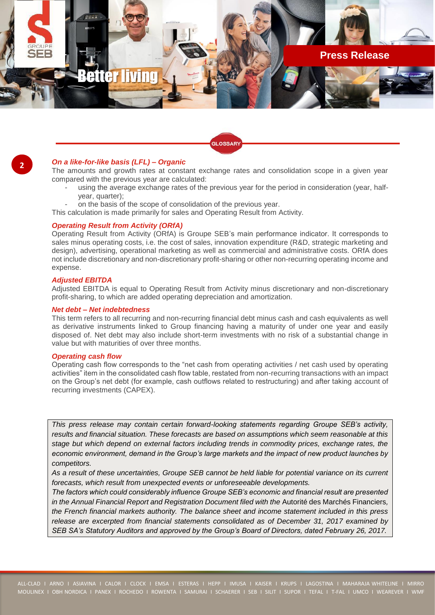

### *On a like-for-like basis (LFL) – Organic*

The amounts and growth rates at constant exchange rates and consolidation scope in a given year compared with the previous year are calculated:

using the average exchange rates of the previous year for the period in consideration (year, halfyear, quarter);

**GLOSSARY** 

- on the basis of the scope of consolidation of the previous year.
- This calculation is made primarily for sales and Operating Result from Activity.

#### *Operating Result from Activity (ORfA)*

Operating Result from Activity (ORfA) is Groupe SEB's main performance indicator. It corresponds to sales minus operating costs, i.e. the cost of sales, innovation expenditure (R&D, strategic marketing and design), advertising, operational marketing as well as commercial and administrative costs. ORfA does not include discretionary and non-discretionary profit-sharing or other non-recurring operating income and expense.

#### *Adjusted EBITDA*

Adjusted EBITDA is equal to Operating Result from Activity minus discretionary and non-discretionary profit-sharing, to which are added operating depreciation and amortization.

#### *Net debt – Net indebtedness*

This term refers to all recurring and non-recurring financial debt minus cash and cash equivalents as well as derivative instruments linked to Group financing having a maturity of under one year and easily disposed of. Net debt may also include short-term investments with no risk of a substantial change in value but with maturities of over three months.

#### *Operating cash flow*

Operating cash flow corresponds to the "net cash from operating activities / net cash used by operating activities" item in the consolidated cash flow table, restated from non-recurring transactions with an impact on the Group's net debt (for example, cash outflows related to restructuring) and after taking account of recurring investments (CAPEX).

*This press release may contain certain forward-looking statements regarding Groupe SEB's activity, results and financial situation. These forecasts are based on assumptions which seem reasonable at this stage but which depend on external factors including trends in commodity prices, exchange rates, the economic environment, demand in the Group's large markets and the impact of new product launches by competitors.*

*As a result of these uncertainties, Groupe SEB cannot be held liable for potential variance on its current forecasts, which result from unexpected events or unforeseeable developments.*

*The factors which could considerably influence Groupe SEB's economic and financial result are presented in the Annual Financial Report and Registration Document filed with the* Autorité des Marchés Financiers*, the French financial markets authority. The balance sheet and income statement included in this press release are excerpted from financial statements consolidated as of December 31, 2017 examined by SEB SA's Statutory Auditors and approved by the Group's Board of Directors, dated February 26, 2017.*